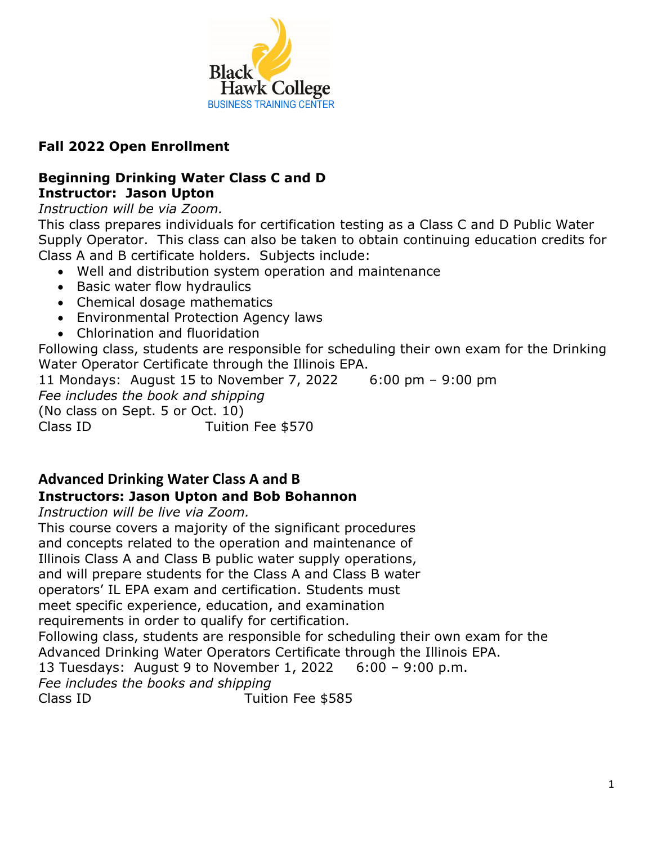

# **Fall 2022 Open Enrollment**

#### **Beginning Drinking Water Class C and D Instructor: Jason Upton**

### *Instruction will be via Zoom.*

This class prepares individuals for certification testing as a Class C and D Public Water Supply Operator. This class can also be taken to obtain continuing education credits for Class A and B certificate holders. Subjects include:

- Well and distribution system operation and maintenance
- Basic water flow hydraulics
- Chemical dosage mathematics
- Environmental Protection Agency laws
- Chlorination and fluoridation

Following class, students are responsible for scheduling their own exam for the Drinking Water Operator Certificate through the Illinois EPA.

11 Mondays: August 15 to November 7, 2022 6:00 pm – 9:00 pm *Fee includes the book and shipping*  (No class on Sept. 5 or Oct. 10) Class ID Tuition Fee \$570

# **Advanced Drinking Water Class A and B Instructors: Jason Upton and Bob Bohannon**

*Instruction will be live via Zoom.*

This course covers a majority of the significant procedures and concepts related to the operation and maintenance of Illinois Class A and Class B public water supply operations, and will prepare students for the Class A and Class B water operators' IL EPA exam and certification. Students must meet specific experience, education, and examination requirements in order to qualify for certification. Following class, students are responsible for scheduling their own exam for the Advanced Drinking Water Operators Certificate through the Illinois EPA. 13 Tuesdays: August 9 to November 1, 2022 6:00 – 9:00 p.m. *Fee includes the books and shipping*  Class ID Tuition Fee \$585